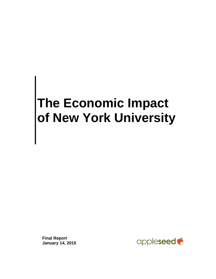# **The Economic Impact of New York University**

**Final Report January 14, 2015**

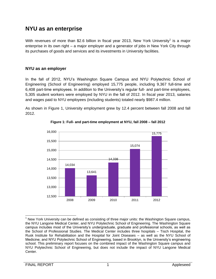# **NYU as an enterprise**

With revenues of more than \$2.6 billion in fiscal year 2013, New York University<sup>1</sup> is a major enterprise in its own right – a major employer and a generator of jobs in New York City through its purchases of goods and services and its investments in University facilities.

# **NYU as an employer**

In the fall of 2012, NYU's Washington Square Campus and NYU Polytechnic School of Engineering (School of Engineering) employed 15,775 people, including 9,367 full-time and 6,408 part-time employees. In addition to the University's regular full- and part-time employees, 5,305 student workers were employed by NYU in the fall of 2012. In fiscal year 2013, salaries and wages paid to NYU employees (including students) totaled nearly \$987.4 million.

As shown in Figure 1, University employment grew by 12.4 percent between fall 2008 and fall 2012.



**Figure 1: Full- and part-time employment at NYU, fall 2008 – fall 2012**

 $\overline{\phantom{a}}$  $1$  New York University can be defined as consisting of three major units: the Washington Square campus, the NYU Langone Medical Center, and NYU Polytechnic School of Engineering. The Washington Square campus includes most of the University's undergraduate, graduate and professional schools, as well as the School of Professional Studies. The Medical Center includes three hospitals – Tisch Hospital, the Rusk Institute for Rehabilitation and the Hospital for Joint Diseases – as well as the NYU School of Medicine; and NYU Polytechnic School of Engineering, based in Brooklyn, is the University's engineering school. This preliminary report focuses on the combined impact of the Washington Square campus and NYU Polytechnic School of Engineering, but does not include the impact of NYU Langone Medical Center.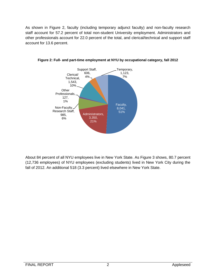As shown in Figure 2, faculty (including temporary adjunct faculty) and non-faculty research staff account for 57.2 percent of total non-student University employment. Administrators and other professionals account for 22.0 percent of the total, and clerical/technical and support staff account for 13.6 percent.



**Figure 2: Full- and part-time employment at NYU by occupational category, fall 2012**

About 84 percent of all NYU employees live in New York State. As Figure 3 shows, 80.7 percent (12,736 employees) of NYU employees (excluding students) lived in New York City during the fall of 2012. An additional 518 (3.3 percent) lived elsewhere in New York State.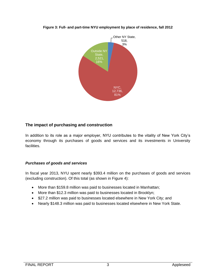

#### **Figure 3: Full- and part-time NYU employment by place of residence, fall 2012**

# **The impact of purchasing and construction**

In addition to its role as a major employer, NYU contributes to the vitality of New York City's economy through its purchases of goods and services and its investments in University facilities.

#### *Purchases of goods and services*

In fiscal year 2013, NYU spent nearly \$393.4 million on the purchases of goods and services (excluding construction). Of this total (as shown in Figure 4):

- More than \$159.8 million was paid to businesses located in Manhattan;
- More than \$12.3 million was paid to businesses located in Brooklyn;
- \$27.2 million was paid to businesses located elsewhere in New York City; and
- Nearly \$148.3 million was paid to businesses located elsewhere in New York State.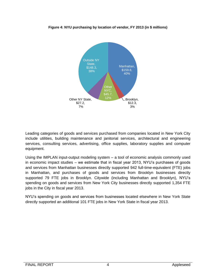

**Figure 4: NYU purchasing by location of vendor, FY 2013 (in \$ millions)**

Leading categories of goods and services purchased from companies located in New York City include utilities, building maintenance and janitorial services, architectural and engineering services, consulting services, advertising, office supplies, laboratory supplies and computer equipment.

Using the IMPLAN input-output modeling system – a tool of economic analysis commonly used in economic impact studies – we estimate that in fiscal year 2013, NYU's purchases of goods and services from Manhattan businesses directly supported 942 full-time-equivalent (FTE) jobs in Manhattan, and purchases of goods and services from Brooklyn businesses directly supported 79 FTE jobs in Brooklyn. Citywide (including Manhattan and Brooklyn), NYU's spending on goods and services from New York City businesses directly supported 1,354 FTE jobs in the City in fiscal year 2013.

NYU's spending on goods and services from businesses located elsewhere in New York State directly supported an additional 101 FTE jobs in New York State in fiscal year 2013.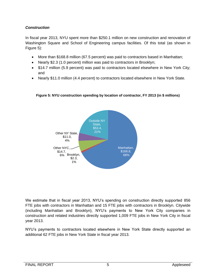# *Construction*

In fiscal year 2013, NYU spent more than \$250.1 million on new construction and renovation of Washington Square and School of Engineering campus facilities. Of this total (as shown in Figure 5):

- More than \$168.8 million (67.5 percent) was paid to contractors based in Manhattan;
- Nearly \$2.3 (1.0 percent) million was paid to contractors in Brooklyn;
- \$14.7 million (5.9 percent) was paid to contractors located elsewhere in New York City; and
- Nearly \$11.0 million (4.4 percent) to contractors located elsewhere in New York State.



## **Figure 5: NYU construction spending by location of contractor, FY 2013 (in \$ millions)**

We estimate that in fiscal year 2013, NYU's spending on construction directly supported 856 FTE jobs with contractors in Manhattan and 15 FTE jobs with contractors in Brooklyn. Citywide (including Manhattan and Brooklyn), NYU's payments to New York City companies in construction and related industries directly supported 1,009 FTE jobs in New York City in fiscal year 2013.

NYU's payments to contractors located elsewhere in New York State directly supported an additional 62 FTE jobs in New York State in fiscal year 2013.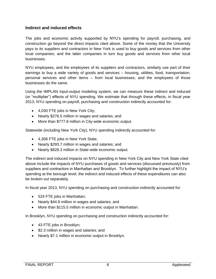## **Indirect and induced effects**

The jobs and economic activity supported by NYU's spending for payroll, purchasing, and construction go beyond the direct impacts cited above. Some of the money that the University pays to its suppliers and contractors in New York is used to buy goods and services from other local companies; and the latter companies in turn buy goods and services from other local businesses.

NYU employees, and the employees of its suppliers and contractors, similarly use part of their earnings to buy a wide variety of goods and services – housing, utilities, food, transportation, personal services and other items – from local businesses; and the employees of those businesses do the same.

Using the IMPLAN input-output modeling system, we can measure these indirect and induced (or "multiplier") effects of NYU spending. We estimate that through these effects, in fiscal year 2013, NYU spending on payroll, purchasing and construction indirectly accounted for:

- 4,030 FTE jobs in New York City;
- Nearly \$276.5 million in wages and salaries; and
- More than \$777.8 million in City-wide economic output.

Statewide (including New York City), NYU spending indirectly accounted for:

- 4,306 FTE jobs in New York State;
- Nearly \$293.7 million in wages and salaries; and
- Nearly \$828.3 million in State-wide economic output.

The indirect and induced impacts on NYU spending in New York City and New York State cited above include the impacts of NYU purchases of goods and services (discussed previously) from suppliers and contractors in Manhattan and Brooklyn. To further highlight the impact of NYU's spending at the borough level, the indirect and induced effects of these expenditures can also be broken out separately.

In fiscal year 2013, NYU spending on purchasing and construction indirectly accounted for:

- 524 FTE jobs in Manhattan;
- Nearly \$44.9 million in wages and salaries; and
- More than \$115.5 million in economic output in Manhattan.

In Brooklyn, NYU spending on purchasing and construction indirectly accounted for:

- 43 FTE jobs in Brooklyn;
- \$2.3 million in wages and salaries; and
- Nearly \$7.1 million in economic output in Brooklyn.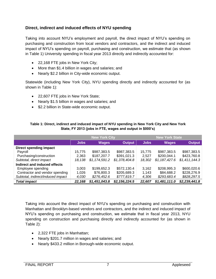# **Direct, indirect and induced effects of NYU spending**

Taking into account NYU's employment and payroll, the direct impact of NYU's spending on purchasing and construction from local vendors and contractors, and the indirect and induced impact of NYU's spending on payroll, purchasing and construction, we estimate that (as shown in Table 1) University spending in fiscal year 2013 directly and indirectly accounted for:

- 22,168 FTE jobs in New York City;
- More than \$1.4 billion in wages and salaries; and
- Nearly \$2.2 billion in City-wide economic output.

Statewide (including New York City), NYU spending directly and indirectly accounted for (as shown in Table 1):

- 22,607 FTE jobs in New York State;
- Nearly \$1.5 billion in wages and salaries; and
- \$2.2 billion in State-wide economic output.

|                                   | <b>New York City</b> |               |               | <b>New York State</b> |               |               |
|-----------------------------------|----------------------|---------------|---------------|-----------------------|---------------|---------------|
|                                   | <b>Jobs</b>          | <b>Wages</b>  | <b>Output</b> | <b>Jobs</b>           | <b>Wages</b>  | <b>Output</b> |
| Direct spending impact            |                      |               |               |                       |               |               |
| Payroll                           | 15.775               | \$987,383.5   | \$987,383.5   | 15,775                | \$987,383.5   | \$987,383.5   |
| Purchasing/construction           | 2.363                | \$187,207.7   | \$391,021.3   | 2.527                 | \$200,044.1   | \$423,760.8   |
| Subtotal, direct impact           | 18.138               | \$1,174,591.2 | \$1,378,404.8 | 18.302                | \$1,187,427.6 | \$1,411,144.3 |
| Indirect and induced effects      |                      |               |               |                       |               |               |
| Employee spending                 | 3.003                | \$199,652.3   | \$572,130.4   | 3.162                 | \$208,995.3   | \$600,020.6   |
| Contractor and vendor spending    | 1,026                | \$76,800.3    | \$205,689.3   | 1,143                 | \$84,688.2    | \$228,276.9   |
| Subtotal, indirect/induced impact | 4,030                | \$276,452.6   | \$777,819.7   | 4,306                 | \$293,683.4   | \$828,297.5   |
| <b>Total impact</b>               | 22,168               | \$1,451,043.8 | \$2,156,224.5 | 22,607                | \$1,481,111.0 | \$2,239,441.8 |

#### **Table 1: Direct, indirect and induced impact of NYU spending in New York City and New York State, FY 2013 (jobs in FTE, wages and output in \$000's)**

Taking into account the direct impact of NYU's spending on purchasing and construction with Manhattan and Brooklyn-based vendors and contractors, and the indirect and induced impact of NYU's spending on purchasing and construction, we estimate that in fiscal year 2013, NYU spending on construction and purchasing directly and indirectly accounted for (as shown in Table 2):

- 2,322 FTE jobs in Manhattan;
- Nearly \$201.7 million in wages and salaries; and
- Nearly \$433.2 million in Borough-wide economic output.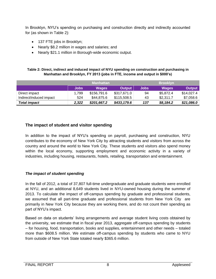In Brooklyn, NYU's spending on purchasing and construction directly and indirectly accounted for (as shown in Table 2):

- 137 FTE jobs in Brooklyn;
- Nearly \$8.2 million in wages and salaries; and
- Nearly \$21.1 million in Borough-wide economic output.

#### **Table 2: Direct, indirect and induced impact of NYU spending on construction and purchasing in Manhattan and Brooklyn, FY 2013 (jobs in FTE, income and output in \$000's)**

|                         |             | <b>Manhattan</b> |               |             | <b>Brooklyn</b> |               |
|-------------------------|-------------|------------------|---------------|-------------|-----------------|---------------|
|                         | <b>Jobs</b> | <b>Wages</b>     | <b>Output</b> | <b>Jobs</b> | <b>Wages</b>    | <b>Output</b> |
| Direct impact           | 1.799       | \$156.791.6      | \$317,671.0   | 94          | \$5,872.4       | \$14,027.4    |
| Indirect/induced impact | 524         | \$44,875.6       | \$115,508.5   | 43          | \$2,311.7       | \$7,058.6     |
| <b>Total impact</b>     | 2.322       | \$201,667.2      | \$433,179.6   | 137         | \$8,184.2       | \$21,086.0    |

# **The impact of student and visitor spending**

In addition to the impact of NYU's spending on payroll, purchasing and construction, NYU contributes to the economy of New York City by attracting students and visitors from across the country and around the world to New York City. These students and visitors also spend money within the local economy, supporting employment and economic activity in a variety of industries, including housing, restaurants, hotels, retailing, transportation and entertainment.

# *The impact of student spending*

In the fall of 2012, a total of 37,807 full-time undergraduate and graduate students were enrolled at NYU, and an additional 8,649 students lived in NYU-owned housing during the summer of 2013. To calculate the impact of off-campus spending by graduate and professional students, we assumed that all part-time graduate and professional students from New York City are primarily in New York City because they are working there, and do not count their spending as part of NYU's impact.

Based on data on students' living arrangements and average student living costs obtained by the university, we estimate that in fiscal year 2013, aggregate off-campus spending by students – for housing, food, transportation, books and supplies, entertainment and other needs – totaled more than \$608.5 million. We estimate off-campus spending by students who came to NYU from outside of New York State totaled nearly \$365.6 million.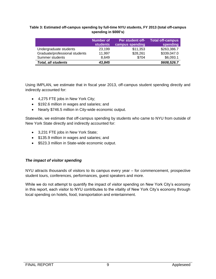#### **Table 3: Estimated off-campus spending by full-time NYU students, FY 2013 (total off-campus spending in \$000's)**

|                                | Number of<br><b>students</b> | <b>Per student off-</b><br>campus spending | <b>Total off-campus</b><br>spending |
|--------------------------------|------------------------------|--------------------------------------------|-------------------------------------|
| Undergraduate students         | 23,199                       | \$11,353                                   | \$263,386.7                         |
| Graduate/professional students | 11,997                       | \$28,261                                   | \$339,047.0                         |
| Summer students                | 8.649                        | \$704                                      | \$6,093.1                           |
| <b>Total, all students</b>     | 43,845                       |                                            | \$608,526.7                         |

Using IMPLAN, we estimate that in fiscal year 2013, off-campus student spending directly and indirectly accounted for:

- 4,275 FTE jobs in New York City;
- \$192.6 million in wages and salaries; and
- Nearly \$746.5 million in City-wide economic output.

Statewide, we estimate that off-campus spending by students who came to NYU from outside of New York State directly and indirectly accounted for:

- 3,231 FTE jobs in New York State;
- \$135.9 million in wages and salaries; and
- \$523.3 million in State-wide economic output.

#### *The impact of visitor spending*

NYU attracts thousands of visitors to its campus every year – for commencement, prospective student tours, conferences, performances, guest speakers and more.

While we do not attempt to quantify the impact of visitor spending on New York City's economy in this report, each visitor to NYU contributes to the vitality of New York City's economy through local spending on hotels, food, transportation and entertainment.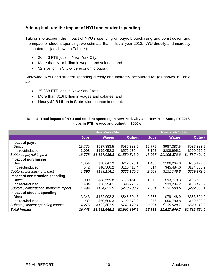# **Adding it all up: the impact of NYU and student spending**

Taking into account the impact of NYU's spending on payroll, purchasing and construction and the impact of student spending, we estimate that in fiscal year 2013, NYU directly and indirectly accounted for (as shown in Table 4):

- 26,443 FTE jobs in New York City;
- More than \$1.6 billion in wages and salaries; and
- \$2.9 billion in City-wide economic output.

Statewide, NYU and student spending directly and indirectly accounted for (as shown in Table 4):

- 25,838 FTE jobs in New York State;
- More than \$1.6 billion in wages and salaries; and
- Nearly \$2.8 billion in State-wide economic output.

#### **Table 4: Total impact of NYU and student spending in New York City and New York State, FY 2013 (jobs in FTE, wages and output in \$000's)**

|                                        | <b>New York City</b> |               |               | <b>New York State</b> |               |               |
|----------------------------------------|----------------------|---------------|---------------|-----------------------|---------------|---------------|
|                                        | <b>Jobs</b>          | <b>Wages</b>  | <b>Output</b> | <b>Jobs</b>           | <b>Wages</b>  | <b>Output</b> |
| Impact of payroll                      |                      |               |               |                       |               |               |
| Direct                                 | 15,775               | \$987,383.5   | \$987,383.5   | 15.775                | \$987,383.5   | \$987,383.5   |
| Indirect/induced                       | 3,003                | \$199,652.3   | \$572,130.4   | 3,162                 | \$208,995.3   | \$600,020.6   |
| Subtotal, payroll impact               | 18,778               | \$1,187,035.8 | \$1,559,513.9 | 18,937                | \$1,196,378.8 | \$1,587,404.0 |
| Impact of purchasing                   |                      |               |               |                       |               |               |
| Direct                                 | 1.354                | \$98,647.9    | \$212,570.1   | 1.455                 | \$106,264.8   | \$235,122.5   |
| Indirect/induced                       | 542                  | \$40,506.2    | \$110,410.4   | 614                   | \$45,484.0    | \$124,850.2   |
| Subtotal, purchasing impact            | 1,896                | \$139,154.1   | \$322,980.5   | 2,069                 | \$151,748.8   | \$359,972.6   |
| Impact of construction spending        |                      |               |               |                       |               |               |
| Direct                                 | 1,009                | \$88,559.8    | \$178,451.2   | 1,072                 | \$93,779.3    | \$188,638.3   |
| Indirect/induced                       | 484                  | \$36,294.1    | \$95,278.9    | 530                   | \$39,204.2    | \$103,426.7   |
| Subtotal, construction spending impact | 1,494                | \$124,853.9   | \$273,730.1   | 1,601                 | \$132,983.5   | \$292,065.1   |
| Impact of student spending             |                      |               |               |                       |               |               |
| Direct                                 | 3,343                | \$122,992.2   | \$546,894.8   | 2.355                 | \$79,148.9    | \$353,624.0   |
| Indirect/induced                       | 932                  | \$69,609.3    | \$199,578.3   | 876                   | \$56,780.8    | \$169,688.3   |
| Subtotal, student spending impact      | 4,275                | \$192,601.5   | \$746,473.1   | 3,231                 | \$135,929.7   | \$523,312.3   |
| <b>Total impact</b>                    | 26,443               | \$1,643,645.3 | \$2,902,697.6 | 25,838                | \$1,617,040.7 | \$2,762,754.0 |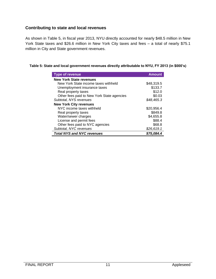# **Contributing to state and local revenues**

As shown in Table 5, in fiscal year 2013, NYU directly accounted for nearly \$48.5 million in New York State taxes and \$26.6 million in New York City taxes and fees – a total of nearly \$75.1 million in City and State government revenues.

#### **Table 5: State and local government revenues directly attributable to NYU, FY 2013 (in \$000's)**

| <b>Type of revenue</b>                     | <b>Amount</b> |
|--------------------------------------------|---------------|
| <b>New York State revenues</b>             |               |
| New York State income taxes withheld       | \$48,319.5    |
| Unemployment insurance taxes               | \$133.7       |
| Real property taxes                        | \$12.0        |
| Other fees paid to New York State agencies | \$0.03        |
| Subtotal, NYS revenues                     | \$48,465.3    |
| <b>New York City revenues</b>              |               |
| NYC income taxes withheld                  | \$20.956.4    |
| Real property taxes                        | \$849.8       |
| Water/sewer charges                        | \$4,655.8     |
| License and permit fees                    | \$88.4        |
| Other fees paid to NYC agencies            | \$68.8        |
| Subtotal, NYC revenues                     | \$26,619.1    |
| <b>Total NYS and NYC revenues</b>          | \$75.084.4    |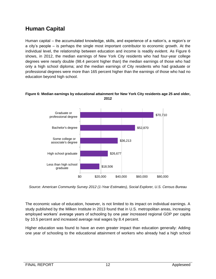# **Human Capital**

Human capital – the accumulated knowledge, skills, and experience of a nation's, a region's or a city's people – is perhaps the single most important contributor to economic growth. At the individual level, the relationship between education and income is readily evident. As Figure 6 shows, in 2012, the median earnings of New York City residents who had four-year college degrees were nearly double (98.4 percent higher than) the median earnings of those who had only a high school diploma; and the median earnings of City residents who had graduate or professional degrees were more than 165 percent higher than the earnings of those who had no education beyond high school.

# \$18,506 \$26,677 \$36,213 \$52,870 \$70,710 \$0 \$20,000 \$40,000 \$60,000 \$80,000 Less than high school graduate High school graduate Some college or associate's degree Bachelor's degree Graduate or professional degree

#### **Figure 6: Median earnings by educational attainment for New York City residents age 25 and older, 2012**

*Source: American Community Survey 2012 (1-Year Estimates), Social Explorer, U.S. Census Bureau*

The economic value of education, however, is not limited to its impact on individual earnings. A study published by the Milken Institute in 2013 found that in U.S. metropolitan areas, increasing employed workers' average years of schooling by one year increased regional GDP per capita by 10.5 percent and increased average real wages by 8.4 percent.

Higher education was found to have an even greater impact than education generally: Adding one year of schooling to the educational attainment of workers who already had a high school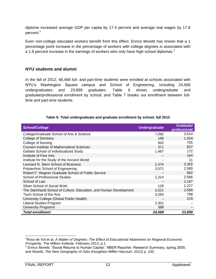diploma increased average GDP per capita by 17.4 percent and average real wages by 17.8 percent.<sup>2</sup>

Even non-college educated workers benefit from this effect. Enrico Moretti has shown that a 1 percentage point increase in the percentage of workers with college degrees is associated with a 1.6 percent increase in the earnings of workers who only have high school diplomas. $3$ 

#### **NYU students and alumni**

In the fall of 2012, 48,468 full- and part-time students were enrolled at schools associated with NYU's Washington Square campus and School of Engineering, including 24,569 undergraduates and 23,899 graduates. Table 6 shows undergraduate and graduate/professional enrollment by school; and Table 7 breaks out enrollment between fulltime and part-time students.

| <b>School/College</b>                                              | <b>Undergraduate</b> | <b>Graduate/</b><br>professional |
|--------------------------------------------------------------------|----------------------|----------------------------------|
| College/Graduate School of Arts & Science                          | 7,092                | 3,014                            |
| <b>College of Dentistry</b>                                        | 196                  | 1,554                            |
| <b>College of Nursing</b>                                          | 942                  | 705                              |
| <b>Courant Institute of Mathematical Sciences</b>                  | 371                  | 837                              |
| Gallatin School of Individualized Study                            | 1,487                | 172                              |
| Institute of Fine Arts                                             |                      | 164                              |
| Institute for the Study of the Ancient World                       |                      | 11                               |
| Leonard N. Stern School of Business                                | 2,474                | 3,355                            |
| Polytechnic School of Engineering                                  | 2,071                | 2,580                            |
| Robert F. Wagner Graduate School of Public Service                 |                      | 962                              |
| <b>School of Professional Studies</b>                              | 1,314                | 2,566                            |
| School of Law                                                      |                      | 2,167                            |
| Silver School of Social Work                                       | 129                  | 1,227                            |
| The Steinhardt School of Culture, Education, and Human Development | 2,521                | 3,568                            |
| Tisch School of the Arts                                           | 3,283                | 798                              |
| University College (Global Public Health)                          |                      | 219                              |
| Liberal Studies Program                                            | 2,301                |                                  |
| <b>University Programs</b>                                         | 388                  |                                  |
| <b>Total enrollment</b>                                            | 24,569               | 23,899                           |

#### **Table 6: Total undergraduate and graduate enrollment by school, fall 2012**

 <sup>2</sup>Ross de Vol et al, *A Matter of Degrees: The Effect of Educational Attainment on Regional Economic Prosperity*, The Milken Institute, February 2013, p.1.

<sup>3</sup> Enrico Moretti, "Social Returns to Human Capital," NBER Reporter: Research Summary, spring 2005; and Moretti, *The New Geography of Jobs* (Houghton Mifflin Harcourt, 2012) p. 100.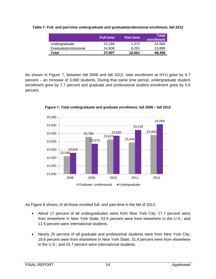|                       | <b>Full-time</b> | <b>Part-time</b> | <b>Total</b><br>enrollment |
|-----------------------|------------------|------------------|----------------------------|
| Undergraduate         | 23.199           | 1.370            | 24.569                     |
| Graduate/professional | 14.608           | 9.291            | 23.899                     |
| Total                 | 37,807           | 10,661           | 48,468                     |

**Table 7: Full- and part-time undergraduate and graduate/professional enrollment, fall 2012**

As shown in Figure 7, between fall 2008 and fall 2012, total enrollment at NYU grew by 6.7 percent – an increase of 3,060 students. During that same time period, undergraduate student enrollment grew by 7.7 percent and graduate and professional student enrollment grew by 5.8 percent.



**Figure 7: Total undergraduate and graduate enrollment, fall 2008 – fall 2012**

As Figure 8 shows, of all those enrolled full- and part-time in the fall of 2012:

- About 17 percent of all undergraduates were from New York City; 17.7 percent were from elsewhere in New York State; 53.9 percent were from elsewhere in the U.S.; and 11.5 percent were international students.
- Nearly 25 percent of all graduate and professional students were from New York City; 18.6 percent were from elsewhere in New York State; 31.9 percent were from elsewhere in the U.S.; and 24.7 percent were international students.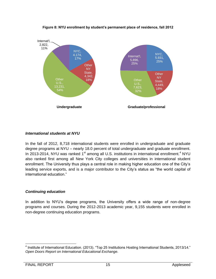

**Figure 8: NYU enrollment by student's permanent place of residence, fall 2012**

#### *International students at NYU*

In the fall of 2012, 8,718 international students were enrolled in undergraduate and graduate degree programs at NYU – nearly 18.0 percent of total undergraduate and graduate enrollment. In 2013-2014, NYU was ranked 1<sup>st</sup> among all U.S. institutions in international enrollment.<sup>4</sup> NYU also ranked first among all New York City colleges and universities in international student enrollment. The University thus plays a central role in making higher education one of the City's leading service exports, and is a major contributor to the City's status as "the world capital of international education."

#### *Continuing education*

In addition to NYU's degree programs, the University offers a wide range of non-degree programs and courses. During the 2012-2013 academic year, 9,155 students were enrolled in non-degree continuing education programs.

<sup>&</sup>lt;sup>4</sup> Institute of International Education. (2013). "Top 25 Institutions Hosting International Students, 2013/14." *Open Doors Report on International Educational Exchange.*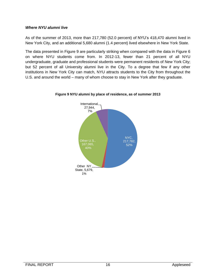## *Where NYU alumni live*

As of the summer of 2013, more than 217,780 (52.0 percent) of NYU's 418,470 alumni lived in New York City, and an additional 5,680 alumni (1.4 percent) lived elsewhere in New York State.

The data presented in Figure 9 are particularly striking when compared with the data in Figure 6 on where NYU students come from. In 2012-13, fewer than 21 percent of all NYU undergraduate, graduate and professional students were permanent residents of New York City; but 52 percent of all University alumni live in the City. To a degree that few if any other institutions in New York City can match, NYU attracts students to the City from throughout the U.S. and around the world – many of whom choose to stay in New York after they graduate.



**Figure 9 NYU alumni by place of residence, as of summer 2013**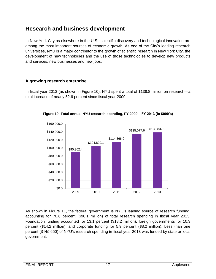# **Research and business development**

In New York City as elsewhere in the U.S., scientific discovery and technological innovation are among the most important sources of economic growth. As one of the City's leading research universities, NYU is a major contributor to the growth of scientific research in New York City, the development of new technologies and the use of those technologies to develop new products and services, new businesses and new jobs.

# **A growing research enterprise**

In fiscal year 2013 (as shown in Figure 10), NYU spent a total of \$138.8 million on research—a total increase of nearly 52.6 percent since fiscal year 2009.



**Figure 10: Total annual NYU research spending, FY 2009 – FY 2013 (in \$000's)**

As shown in Figure 11, the federal government is NYU's leading source of research funding, accounting for 70.6 percent (\$98.1 million) of total research spending in fiscal year 2013. Foundation funding accounted for 13.1 percent (\$18.2 million); foreign governments for 10.3 percent (\$14.2 million); and corporate funding for 5.9 percent (\$8.2 million). Less than one percent (\$145,650) of NYU's research spending in fiscal year 2013 was funded by state or local government.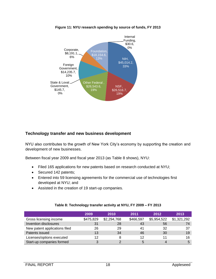

#### **Figure 11: NYU research spending by source of funds, FY 2013**

# **Technology transfer and new business development**

NYU also contributes to the growth of New York City's economy by supporting the creation and development of new businesses.

Between fiscal year 2009 and fiscal year 2013 (as Table 8 shows), NYU:

- Filed 165 applications for new patents based on research conducted at NYU;
- Secured 142 patents;
- Entered into 59 licensing agreements for the commercial use of technologies first developed at NYU; and
- Assisted in the creation of 19 start-up companies.

|                               | 2009      | 2010        | 2011      | 2012        | 2013        |
|-------------------------------|-----------|-------------|-----------|-------------|-------------|
| Gross licensing income        | \$475,829 | \$2,294,768 | \$466,597 | \$5,954,522 | \$1,321,292 |
| Invention disclosures         | 31        | 28          | 43        | 56          | 74          |
| New patent applications filed | 26        | 29          | 41        | 32          | 37          |
| Patents issued                | 13        | 34          | 46        | 30          | 19          |
| Licenses/options executed     | 12        | 8           | 12        | 11          | 16          |
| Start-up companies formed     | 3         |             | 5         |             |             |

#### **Table 8: Technology transfer activity at NYU, FY 2009 – FY 2013**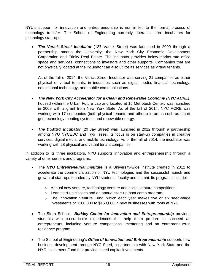NYU's support for innovation and entrepreneurship is not limited to the formal process of technology transfer. The School of Engineering currently operates three incubators for technology start-ups.

**The Varick Street Incubator** (137 Varick Street) was launched in 2009 through a partnership among the University, the New York City Economic Development Corporation and Trinity Real Estate. The incubator provides below-market-rate office space and services, connections to investors and other supports. Companies that are not physically located at the incubator can also utilize its services as virtual tenants.

As of the fall of 2014, the Varick Street Incubator was serving 21 companies as either physical or virtual tenants, in industries such as digital media, financial technology, educational technology, and mobile communications.

- *The New York City Accelerator for a Clean and Renewable Economy (NYC ACRE)*, housed within the Urban Future Lab and located at 15 Metrotech Center, was launched in 2009 with a grant from New York State. As of the fall of 2014, NYC ACRE was working with 17 companies (both physical tenants and others) in areas such as smart grid technology, heating systems and renewable energy.
- *The DUMBO Incubator* (20 Jay Street) was launched in 2012 through a partnership among NYU NYCEDC and Two Trees. Its focus is on start-up companies in creative services, digital media, and mobile technology. As of the fall of 2014, the incubator was working with 28 physical and virtual tenant companies.

In addition to its three incubators, NYU supports innovation and entrepreneurship through a variety of other centers and programs.

- The *NYU Entrepreneurial Institute* is a University-wide institute created in 2012 to accelerate the commercialization of NYU technologies and the successful launch and growth of start-ups founded by NYU students, faculty and alumni. Its programs include:
	- o Annual new venture, technology venture and social venture competitions;
	- o Lean start-up classes and an annual start-up boot camp program;
	- o The Innovation Venture Fund, which each year makes five or six seed-stage investments of \$100,000 to \$150,000 in new businesses with roots at NYU.
- The Stern School's *Berkley Center for Innovation and Entrepreneurship* provides students with co-curricular experiences that help them prepare to succeed as entrepreneurs, including venture competitions, mentoring and an entrepreneurs-in residence program.
- The School of Engineering's *Office of Innovation and Entrepreneurship* supports new business development through NYC Seed, a partnership with New York State and the NYC Investment Fund that provides seed capital investments.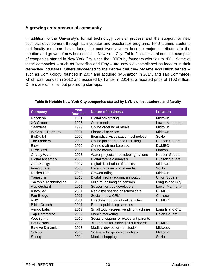# **A growing entrepreneurial community**

In addition to the University's formal technology transfer process and the support for new business development through its incubator and accelerator programs, NYU alumni, students and faculty members have during the past twenty years become major contributors to the creation and growth of new businesses in New York City. Table 9 lists several notable examples of companies started in New York City since the 1990's by founders with ties to NYU. Some of these companies – such as Razorfish and Etsy – are now well-established as leaders in their respective industries. Others succeeded to the degree that they became acquisition targets – such as ComiXology, founded in 2007 and acquired by Amazon in 2014, and Tap Commerce, which was founded in 2012 and acquired by Twitter in 2014 at a reported price of \$100 million. Others are still small but promising start-ups.

| <b>Company</b>               | Year<br>founded | <b>Nature of business</b>             | <b>Location</b>      |
|------------------------------|-----------------|---------------------------------------|----------------------|
| Razorfish                    | 1994            | Digital advertising                   | Midtown              |
| <b>XO Group</b>              | 1996            | Oline media                           | Lower Manhattan      |
| <b>Seamless</b>              | 1999            | Online ordering of meals              | Midtown              |
| <b>W Capital Partners</b>    | 2001            | <b>Financial services</b>             | <b>Midtown</b>       |
| BioDigital                   | 2002            | Biomedical visualization technology   | SoHo                 |
| The Ladders                  | 2003            | Online job search and recruiting      | <b>Hudson Square</b> |
| Etsy                         | 2006            | Online craft marketplace              | <b>DUMBO</b>         |
| <b>BuzzFeed</b>              | 2006            | Online media                          | Flatiron             |
| <b>Charity Water</b>         | 2006            | Water projects in developing nations  | <b>Hudson Square</b> |
| <b>Digital Assembly</b>      | 2006            | Digital forensic analysis             | <b>Hudson Square</b> |
| ComiXology                   | 2007            | Digital distribution of comics        | Midtown              |
| FourSquare                   | 2008            | Location-based social media           | SoHo                 |
| Rocket Hub                   | 2010            | Crowdfunding                          | Midtown              |
| Tagasuris                    | 2010            | Digital media tagging, annotation     | <b>Union Square</b>  |
| <b>Tactonic Technologies</b> | 2010            | Multi-touch imaging sensors           | Long Island City     |
| App Orchard                  | 2011            | Support for app developers            | Lower Manhattan      |
| Kinvolved                    | 2011            | Real-time sharing of school data      | <b>DUMBO</b>         |
| Fan Bridge                   | 2011            | Social media CRM                      | Chelsea              |
| <b>VHX</b>                   | 2011            | Direct distribution of online video   | <b>DUMBO</b>         |
| <b>Biblio Crunch</b>         | 2011            | E-book publishing services            |                      |
| Vengo Labs                   | 2012            | Small touch-screen vending machines   | Long Island City     |
| <b>Tap Commerce</b>          | 2012            | Mobile marketing                      | <b>Union Square</b>  |
| WeeSpring                    | 2012            | Social shopping for expectant parents |                      |
| <b>Bot Factory</b>           | 2013            | 3D printers for making circuit boards | <b>DUMBO</b>         |
| Ex Vivo Dynamics             | 2013            | Medical device for transfusion        | Midwood              |
| Solvuu                       | 2013            | Software for genomic analysis         | Midtown              |
| Spring                       | 2014            | Mobile shopping                       | SoHo                 |

#### **Table 9: Notable New York City companies started by NYU alumni, students and faculty**